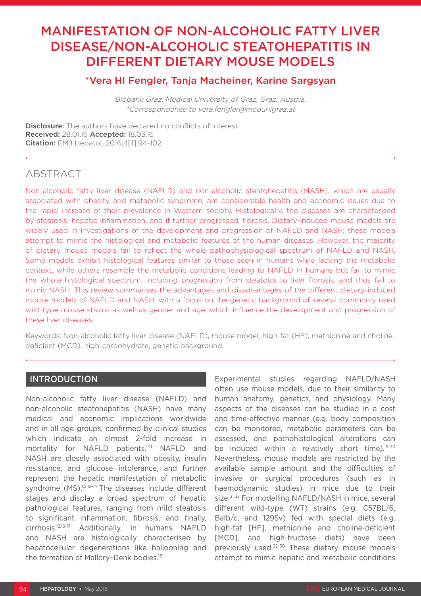# MANIFESTATION OF NON-ALCOHOLIC FATTY LIVER DISEASE/NON-ALCOHOLIC STEATOHEPATITIS IN DIFFERENT DIETARY MOUSE MODELS

### \*Vera HI Fengler, Tanja Macheiner, Karine Sargsyan

Biobank Graz, Medical University of Graz, Graz, Austria. \*Correspondence to vera.fengler@medunigraz.at

Disclosure: The authors have declared no conflicts of interest. Received: 28.01.16 Accepted: 18.03.16 Citation: EMJ Hepatol. 2016;4[1]:94-102.

## ABSTRACT

Non-alcoholic fatty liver disease (NAFLD) and non-alcoholic steatohepatitis (NASH), which are usually associated with obesity and metabolic syndrome, are considerable health and economic issues due to the rapid increase of their prevalence in Western society. Histologically, the diseases are characterised by steatosis, hepatic inflammation, and if further progressed, fibrosis. Dietary-induced mouse models are widely used in investigations of the development and progression of NAFLD and NASH; these models attempt to mimic the histological and metabolic features of the human diseases. However, the majority of dietary mouse models fail to reflect the whole pathophysiological spectrum of NAFLD and NASH. Some models exhibit histological features similar to those seen in humans while lacking the metabolic context, while others resemble the metabolic conditions leading to NAFLD in humans but fail to mimic the whole histological spectrum, including progression from steatosis to liver fibrosis, and thus fail to mimic NASH. This review summarises the advantages and disadvantages of the different dietary-induced mouse models of NAFLD and NASH, with a focus on the genetic background of several commonly used wild-type mouse strains as well as gender and age, which influence the development and progression of these liver diseases.

Keywords: Non-alcoholic fatty liver disease (NAFLD), mouse model, high-fat (HF), methionine and cholinedeficient (MCD), high-carbohydrate, genetic background.

### INTRODUCTION

Non-alcoholic fatty liver disease (NAFLD) and non-alcoholic steatohepatitis (NASH) have many medical and economic implications worldwide and in all age groups, confirmed by clinical studies which indicate an almost 2-fold increase in mortality for NAFLD patients.<sup>1-11</sup> NAFLD and NASH are closely associated with obesity, insulin resistance, and glucose intolerance, and further represent the hepatic manifestation of metabolic syndrome (MS).<sup>1,2,12-14</sup> The diseases include different stages and display a broad spectrum of hepatic pathological features, ranging from mild steatosis to significant inflammation, fibrosis, and finally, cirrhosis.13,15-17 Additionally, in humans NAFLD and NASH are histologically characterised by hepatocellular degenerations like ballooning and the formation of Mallory-Denk bodies.<sup>18</sup>

Experimental studies regarding NAFLD/NASH often use mouse models, due to their similarity to human anatomy, genetics, and physiology. Many aspects of the diseases can be studied in a cost and time-effective manner (e.g. body composition can be monitored, metabolic parameters can be assessed, and pathohistological alterations can be induced within a relatively short time).<sup>19-30</sup> Nevertheless, mouse models are restricted by the available sample amount and the difficulties of invasive or surgical procedures (such as in haemodynamic studies) in mice due to their size.<sup>31,32</sup> For modelling NAFLD/NASH in mice, several different wild-type (WT) strains (e.g. C57BL/6, Balb/c, and 129Sv) fed with special diets (e.g. high-fat [HF], methionine and choline-deficient [MCD], and high-fructose diets) have been previously used.22-30 These dietary mouse models attempt to mimic hepatic and metabolic conditions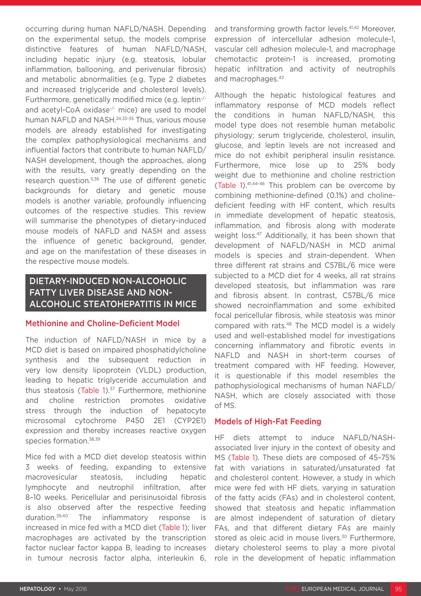occurring during human NAFLD/NASH. Depending on the experimental setup, the models comprise distinctive features of human NAFLD/NASH, including hepatic injury (e.g. steatosis, lobular inflammation, ballooning, and perivenular fibrosis) and metabolic abnormalities (e.g. Type 2 diabetes and increased triglyceride and cholesterol levels). Furthermore, genetically modified mice (e.g. leptin-/ and acetyl-CoA oxidase<sup>-/-</sup> mice) are used to model human NAFLD and NASH.<sup>24,33-35</sup> Thus, various mouse models are already established for investigating the complex pathophysiological mechanisms and influential factors that contribute to human NAFLD/ NASH development, though the approaches, along with the results, vary greatly depending on the research question.5,36 The use of different genetic backgrounds for dietary and genetic mouse models is another variable, profoundly influencing outcomes of the respective studies. This review will summarise the phenotypes of dietary-induced mouse models of NAFLD and NASH and assess the influence of genetic background, gender, and age on the manifestation of these diseases in the respective mouse models.

### DIETARY-INDUCED NON-ALCOHOLIC FATTY LIVER DISEASE AND NON-ALCOHOLIC STEATOHEPATITIS IN MICE

### Methionine and Choline-Deficient Model

The induction of NAFLD/NASH in mice by a MCD diet is based on impaired phosphatidylcholine synthesis and the subsequent reduction in very low density lipoprotein (VLDL) production, leading to hepatic triglyceride accumulation and thus steatosis (Table 1). $37$  Furthermore, methionine and choline restriction promotes oxidative stress through the induction of hepatocyte microsomal cytochrome P450 2E1 (CYP2E1) expression and thereby increases reactive oxygen species formation.<sup>38,39</sup>

Mice fed with a MCD diet develop steatosis within 3 weeks of feeding, expanding to extensive macrovesicular steatosis, including hepatic lymphocyte and neutrophil infiltration, after 8–10 weeks. Pericellular and perisinusoidal fibrosis is also observed after the respective feeding duration.39,40 The inflammatory response is increased in mice fed with a MCD diet (Table 1); liver macrophages are activated by the transcription factor nuclear factor kappa B, leading to increases in tumour necrosis factor alpha, interleukin 6, and transforming growth factor levels.<sup>41,42</sup> Moreover, expression of intercellular adhesion molecule-1, vascular cell adhesion molecule-1, and macrophage chemotactic protein-1 is increased, promoting hepatic infiltration and activity of neutrophils and macrophages.<sup>43</sup>

Although the hepatic histological features and inflammatory response of MCD models reflect the conditions in human NAFLD/NASH, this model type does not resemble human metabolic physiology; serum triglyceride, cholesterol, insulin, glucose, and leptin levels are not increased and mice do not exhibit peripheral insulin resistance. Furthermore, mice lose up to 25% body weight due to methionine and choline restriction (Table 1).41,44-46 This problem can be overcome by combining methionine-defined (0.1%) and cholinedeficient feeding with HF content, which results in immediate development of hepatic steatosis, inflammation, and fibrosis along with moderate weight loss.<sup>47</sup> Additionally, it has been shown that development of NAFLD/NASH in MCD animal models is species and strain-dependent. When three different rat strains and C57BL/6 mice were subjected to a MCD diet for 4 weeks, all rat strains developed steatosis, but inflammation was rare and fibrosis absent. In contrast, C57BL/6 mice showed necroinflammation and some exhibited focal pericellular fibrosis, while steatosis was minor compared with rats.<sup>48</sup> The MCD model is a widely used and well-established model for investigations concerning inflammatory and fibrotic events in NAFLD and NASH in short-term courses of treatment compared with HF feeding. However, it is questionable if this model resembles the pathophysiological mechanisms of human NAFLD/ NASH, which are closely associated with those of MS.

### Models of High-Fat Feeding

HF diets attempt to induce NAFLD/NASHassociated liver injury in the context of obesity and MS (Table 1). These diets are composed of 45–75% fat with variations in saturated/unsaturated fat and cholesterol content. However, a study in which mice were fed with HF diets, varying in saturation of the fatty acids (FAs) and in cholesterol content, showed that steatosis and hepatic inflammation are almost independent of saturation of dietary FAs, and that different dietary FAs are mainly stored as oleic acid in mouse livers.<sup>30</sup> Furthermore, dietary cholesterol seems to play a more pivotal role in the development of hepatic inflammation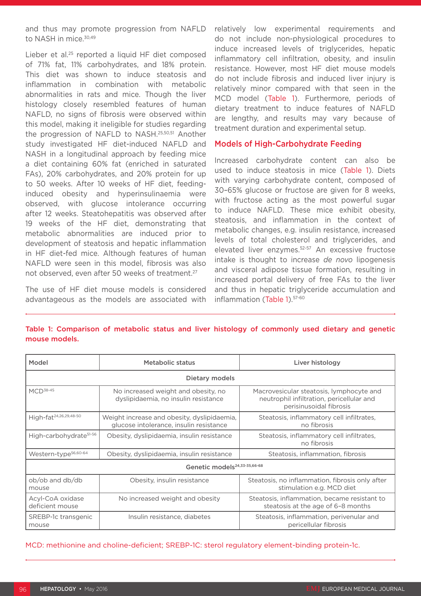and thus may promote progression from NAFLD to NASH in mice.<sup>30,49</sup>

Lieber et al.<sup>25</sup> reported a liquid HF diet composed of 71% fat, 11% carbohydrates, and 18% protein. This diet was shown to induce steatosis and inflammation in combination with metabolic abnormalities in rats and mice. Though the liver histology closely resembled features of human NAFLD, no signs of fibrosis were observed within this model, making it ineligible for studies regarding the progression of NAFLD to NASH.25,50,51 Another study investigated HF diet-induced NAFLD and NASH in a longitudinal approach by feeding mice a diet containing 60% fat (enriched in saturated FAs), 20% carbohydrates, and 20% protein for up to 50 weeks. After 10 weeks of HF diet, feedinginduced obesity and hyperinsulinaemia were observed, with glucose intolerance occurring after 12 weeks. Steatohepatitis was observed after 19 weeks of the HF diet, demonstrating that metabolic abnormalities are induced prior to development of steatosis and hepatic inflammation in HF diet-fed mice. Although features of human NAFLD were seen in this model, fibrosis was also not observed, even after 50 weeks of treatment.27

The use of HF diet mouse models is considered advantageous as the models are associated with relatively low experimental requirements and do not include non-physiological procedures to induce increased levels of triglycerides, hepatic inflammatory cell infiltration, obesity, and insulin resistance. However, most HF diet mouse models do not include fibrosis and induced liver injury is relatively minor compared with that seen in the MCD model (Table 1). Furthermore, periods of dietary treatment to induce features of NAFLD are lengthy, and results may vary because of treatment duration and experimental setup.

### Models of High-Carbohydrate Feeding

Increased carbohydrate content can also be used to induce steatosis in mice (Table 1). Diets with varying carbohydrate content, composed of 30–65% glucose or fructose are given for 8 weeks, with fructose acting as the most powerful sugar to induce NAFLD. These mice exhibit obesity, steatosis, and inflammation in the context of metabolic changes, e.g. insulin resistance, increased levels of total cholesterol and triglycerides, and elevated liver enzymes.<sup>52-57</sup> An excessive fructose intake is thought to increase *de novo* lipogenesis and visceral adipose tissue formation, resulting in increased portal delivery of free FAs to the liver and thus in hepatic triglyceride accumulation and inflammation (Table 1).<sup>57-60</sup>

### Table 1: Comparison of metabolic status and liver histology of commonly used dietary and genetic mouse models.

| Model                                    | Metabolic status                                                                       | Liver histology                                                                                                  |  |  |
|------------------------------------------|----------------------------------------------------------------------------------------|------------------------------------------------------------------------------------------------------------------|--|--|
| Dietary models                           |                                                                                        |                                                                                                                  |  |  |
| $MCD^{38-45}$                            | No increased weight and obesity, no<br>dyslipidaemia, no insulin resistance            | Macrovesicular steatosis, lymphocyte and<br>neutrophil infiltration, pericellular and<br>perisinusoidal fibrosis |  |  |
| High-fat <sup>24,26,29,48-50</sup>       | Weight increase and obesity, dyslipidaemia,<br>glucose intolerance, insulin resistance | Steatosis, inflammatory cell infiltrates,<br>no fibrosis                                                         |  |  |
| High-carbohydrate <sup>51-56</sup>       | Obesity, dyslipidaemia, insulin resistance                                             | Steatosis, inflammatory cell infiltrates,<br>no fibrosis                                                         |  |  |
| Western-type <sup>56,60-64</sup>         | Obesity, dyslipidaemia, insulin resistance                                             | Steatosis, inflammation, fibrosis                                                                                |  |  |
| Genetic models <sup>24,33-35,66-68</sup> |                                                                                        |                                                                                                                  |  |  |
| ob/ob and db/db<br>mouse                 | Obesity, insulin resistance                                                            | Steatosis, no inflammation, fibrosis only after<br>stimulation e.g. MCD diet                                     |  |  |
| Acyl-CoA oxidase<br>deficient mouse      | No increased weight and obesity                                                        | Steatosis, inflammation, became resistant to<br>steatosis at the age of 6-8 months                               |  |  |
| SREBP-1c transgenic<br>mouse             | Insulin resistance, diabetes                                                           | Steatosis, inflammation, perivenular and<br>pericellular fibrosis                                                |  |  |

MCD: methionine and choline-deficient; SREBP-1C: sterol regulatory element-binding protein-1c.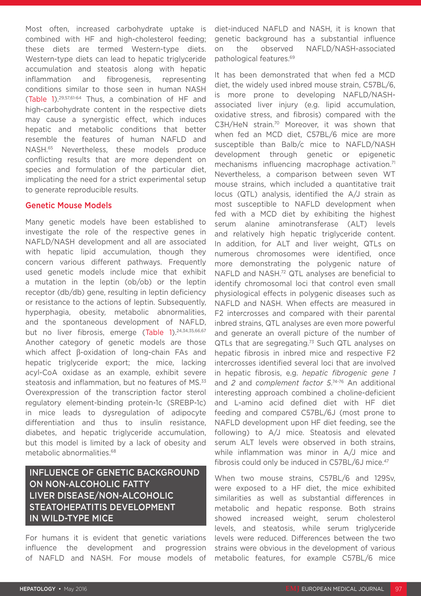Most often, increased carbohydrate uptake is combined with HF and high-cholesterol feeding; these diets are termed Western-type diets. Western-type diets can lead to hepatic triglyceride accumulation and steatosis along with hepatic inflammation and fibrogenesis, representing conditions similar to those seen in human NASH (Table 1).29,57,61-64 Thus, a combination of HF and high-carbohydrate content in the respective diets may cause a synergistic effect, which induces hepatic and metabolic conditions that better resemble the features of human NAFLD and NASH.65 Nevertheless, these models produce conflicting results that are more dependent on species and formulation of the particular diet, implicating the need for a strict experimental setup to generate reproducible results.

### Genetic Mouse Models

Many genetic models have been established to investigate the role of the respective genes in NAFLD/NASH development and all are associated with hepatic lipid accumulation, though they concern various different pathways. Frequently used genetic models include mice that exhibit a mutation in the leptin (ob/ob) or the leptin receptor (db/db) gene, resulting in leptin deficiency or resistance to the actions of leptin. Subsequently, hyperphagia, obesity, metabolic abnormalities, and the spontaneous development of NAFLD, but no liver fibrosis, emerge (Table 1).<sup>24,34,35,66,67</sup> Another category of genetic models are those which affect β-oxidation of long-chain FAs and hepatic triglyceride export; the mice, lacking acyl-CoA oxidase as an example, exhibit severe steatosis and inflammation, but no features of MS.<sup>33</sup> Overexpression of the transcription factor sterol regulatory element-binding protein-1c (SREBP-1c) in mice leads to dysregulation of adipocyte differentiation and thus to insulin resistance, diabetes, and hepatic triglyceride accumulation, but this model is limited by a lack of obesity and metabolic abnormalities.<sup>68</sup>

### INFLUENCE OF GENETIC BACKGROUND ON NON-ALCOHOLIC FATTY LIVER DISEASE/NON-ALCOHOLIC STEATOHEPATITIS DEVELOPMENT IN WILD-TYPE MICE

For humans it is evident that genetic variations influence the development and progression of NAFLD and NASH. For mouse models of diet-induced NAFLD and NASH, it is known that genetic background has a substantial influence on the observed NAFLD/NASH-associated pathological features.69

It has been demonstrated that when fed a MCD diet, the widely used inbred mouse strain, C57BL/6, is more prone to developing NAFLD/NASHassociated liver injury (e.g. lipid accumulation, oxidative stress, and fibrosis) compared with the C3H/HeN strain.70 Moreover, it was shown that when fed an MCD diet, C57BL/6 mice are more susceptible than Balb/c mice to NAFLD/NASH development through genetic or epigenetic mechanisms influencing macrophage activation.<sup>71</sup> Nevertheless, a comparison between seven WT mouse strains, which included a quantitative trait locus (QTL) analysis, identified the A/J strain as most susceptible to NAFLD development when fed with a MCD diet by exhibiting the highest serum alanine aminotransferase (ALT) levels and relatively high hepatic triglyceride content. In addition, for ALT and liver weight, QTLs on numerous chromosomes were identified, once more demonstrating the polygenic nature of NAFLD and NASH.72 QTL analyses are beneficial to identify chromosomal loci that control even small physiological effects in polygenic diseases such as NAFLD and NASH. When effects are measured in F2 intercrosses and compared with their parental inbred strains, QTL analyses are even more powerful and generate an overall picture of the number of QTLs that are segregating.<sup>73</sup> Such QTL analyses on hepatic fibrosis in inbred mice and respective F2 intercrosses identified several loci that are involved in hepatic fibrosis, e.g. *hepatic fibrogenic gene 1* and *2* and *complement factor 5*. 74-76 An additional interesting approach combined a choline-deficient and L-amino acid defined diet with HF diet feeding and compared C57BL/6J (most prone to NAFLD development upon HF diet feeding, see the following) to A/J mice. Steatosis and elevated serum ALT levels were observed in both strains, while inflammation was minor in A/J mice and fibrosis could only be induced in C57BL/6J mice.<sup>47</sup>

When two mouse strains, C57BL/6 and 129Sv, were exposed to a HF diet, the mice exhibited similarities as well as substantial differences in metabolic and hepatic response. Both strains showed increased weight, serum cholesterol levels, and steatosis, while serum triglyceride levels were reduced. Differences between the two strains were obvious in the development of various metabolic features, for example C57BL/6 mice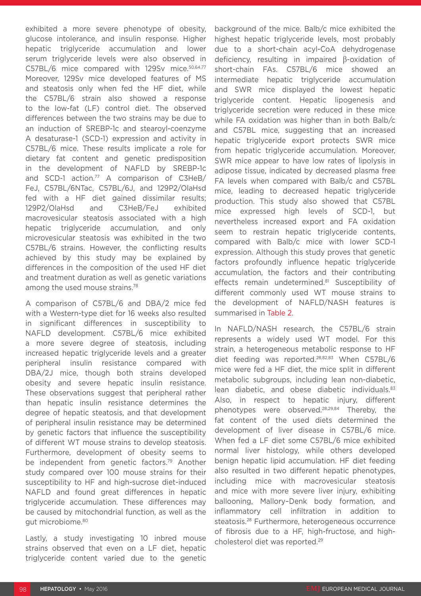exhibited a more severe phenotype of obesity, glucose intolerance, and insulin response. Higher hepatic triglyceride accumulation and lower serum triglyceride levels were also observed in C57BL/6 mice compared with 129Sv mice.50,64,77 Moreover, 129Sv mice developed features of MS and steatosis only when fed the HF diet, while the C57BL/6 strain also showed a response to the low-fat (LF) control diet. The observed differences between the two strains may be due to an induction of SREBP-1c and stearoyl-coenzyme A desaturase-1 (SCD-1) expression and activity in C57BL/6 mice. These results implicate a role for dietary fat content and genetic predisposition in the development of NAFLD by SREBP-1c and SCD-1 action.<sup>77</sup> A comparison of C3HeB/ FeJ, C57BL/6NTac, C57BL/6J, and 129P2/OlaHsd fed with a HF diet gained dissimilar results; 129P2/OlaHsd and C3HeB/FeJ exhibited macrovesicular steatosis associated with a high hepatic triglyceride accumulation, and only microvesicular steatosis was exhibited in the two C57BL/6 strains. However, the conflicting results achieved by this study may be explained by differences in the composition of the used HF diet and treatment duration as well as genetic variations among the used mouse strains.78

A comparison of C57BL/6 and DBA/2 mice fed with a Western-type diet for 16 weeks also resulted in significant differences in susceptibility to NAFLD development. C57BL/6 mice exhibited a more severe degree of steatosis, including increased hepatic triglyceride levels and a greater peripheral insulin resistance compared with DBA/2J mice, though both strains developed obesity and severe hepatic insulin resistance. These observations suggest that peripheral rather than hepatic insulin resistance determines the degree of hepatic steatosis, and that development of peripheral insulin resistance may be determined by genetic factors that influence the susceptibility of different WT mouse strains to develop steatosis. Furthermore, development of obesity seems to be independent from genetic factors.<sup>79</sup> Another study compared over 100 mouse strains for their susceptibility to HF and high-sucrose diet-induced NAFLD and found great differences in hepatic triglyceride accumulation. These differences may be caused by mitochondrial function, as well as the gut microbiome.80

Lastly, a study investigating 10 inbred mouse strains observed that even on a LF diet, hepatic triglyceride content varied due to the genetic background of the mice. Balb/c mice exhibited the highest hepatic triglyceride levels, most probably due to a short-chain acyl-CoA dehydrogenase deficiency, resulting in impaired β-oxidation of short-chain FAs. C57BL/6 mice showed an intermediate hepatic triglyceride accumulation and SWR mice displayed the lowest hepatic triglyceride content. Hepatic lipogenesis and triglyceride secretion were reduced in these mice while FA oxidation was higher than in both Balb/c and C57BL mice, suggesting that an increased hepatic triglyceride export protects SWR mice from hepatic triglyceride accumulation. Moreover, SWR mice appear to have low rates of lipolysis in adipose tissue, indicated by decreased plasma free FA levels when compared with Balb/c and C57BL mice, leading to decreased hepatic triglyceride production. This study also showed that C57BL mice expressed high levels of SCD-1, but nevertheless increased export and FA oxidation seem to restrain hepatic triglyceride contents, compared with Balb/c mice with lower SCD-1 expression. Although this study proves that genetic factors profoundly influence hepatic triglyceride accumulation, the factors and their contributing effects remain undetermined.<sup>81</sup> Susceptibility of different commonly used WT mouse strains to the development of NAFLD/NASH features is summarised in Table 2.

In NAFLD/NASH research, the C57BL/6 strain represents a widely used WT model. For this strain, a heterogeneous metabolic response to HF diet feeding was reported.28,82,83 When C57BL/6 mice were fed a HF diet, the mice split in different metabolic subgroups, including lean non-diabetic, lean diabetic, and obese diabetic individuals.<sup>83</sup> Also, in respect to hepatic injury, different phenotypes were observed.28,29,84 Thereby, the fat content of the used diets determined the development of liver disease in C57BL/6 mice. When fed a LF diet some C57BL/6 mice exhibited normal liver histology, while others developed benign hepatic lipid accumulation. HF diet feeding also resulted in two different hepatic phenotypes, including mice with macrovesicular steatosis and mice with more severe liver injury, exhibiting ballooning, Mallory–Denk body formation, and inflammatory cell infiltration in addition to steatosis.28 Furthermore, heterogeneous occurrence of fibrosis due to a HF, high-fructose, and highcholesterol diet was reported.29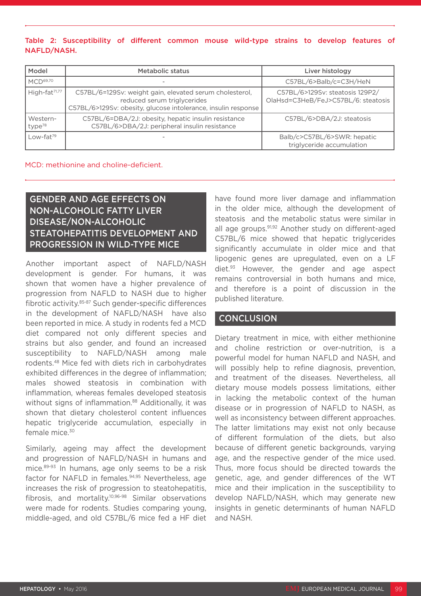### Table 2: Susceptibility of different common mouse wild-type strains to develop features of NAFLD/NASH.

| Model                          | <b>Metabolic status</b>                                                                                                                                 | Liver histology                                                        |
|--------------------------------|---------------------------------------------------------------------------------------------------------------------------------------------------------|------------------------------------------------------------------------|
| MCD <sup>69,70</sup>           |                                                                                                                                                         | C57BL/6>Balb/c=C3H/HeN                                                 |
| High-fat <sup>71,77</sup>      | C57BL/6=129Sv: weight gain, elevated serum cholesterol,<br>reduced serum triglycerides<br>C57BL/6>129Sv: obesity, glucose intolerance, insulin response | C57BL/6>129Sv: steatosis 129P2/<br>OlaHsd=C3HeB/FeJ>C57BL/6: steatosis |
| Western-<br>type <sup>78</sup> | C57BL/6=DBA/2J: obesity, hepatic insulin resistance<br>C57BL/6>DBA/2J: peripheral insulin resistance                                                    | C57BL/6>DBA/2J: steatosis                                              |
| Low-fat <sup>79</sup>          |                                                                                                                                                         | Balb/c>C57BL/6>SWR: hepatic<br>triglyceride accumulation               |

#### MCD: methionine and choline-deficient.

### GENDER AND AGE EFFECTS ON NON-ALCOHOLIC FATTY LIVER DISEASE/NON-ALCOHOLIC STEATOHEPATITIS DEVELOPMENT AND PROGRESSION IN WILD-TYPE MICE

Another important aspect of NAFLD/NASH development is gender. For humans, it was shown that women have a higher prevalence of progression from NAFLD to NASH due to higher fibrotic activity.85-87 Such gender-specific differences in the development of NAFLD/NASH have also been reported in mice. A study in rodents fed a MCD diet compared not only different species and strains but also gender, and found an increased susceptibility to NAFLD/NASH among male rodents.48 Mice fed with diets rich in carbohydrates exhibited differences in the degree of inflammation; males showed steatosis in combination with inflammation, whereas females developed steatosis without signs of inflammation.<sup>88</sup> Additionally, it was shown that dietary cholesterol content influences hepatic triglyceride accumulation, especially in female mice.30

Similarly, ageing may affect the development and progression of NAFLD/NASH in humans and mice.89-93 In humans, age only seems to be a risk factor for NAFLD in females.<sup>94,95</sup> Nevertheless, age increases the risk of progression to steatohepatitis, fibrosis, and mortality.10,96-98 Similar observations were made for rodents. Studies comparing young, middle-aged, and old C57BL/6 mice fed a HF diet have found more liver damage and inflammation in the older mice, although the development of steatosis and the metabolic status were similar in all age groups.<sup>91,92</sup> Another study on different-aged C57BL/6 mice showed that hepatic triglycerides significantly accumulate in older mice and that lipogenic genes are upregulated, even on a LF diet.93 However, the gender and age aspect remains controversial in both humans and mice, and therefore is a point of discussion in the published literature.

### **CONCLUSION**

Dietary treatment in mice, with either methionine and choline restriction or over-nutrition, is a powerful model for human NAFLD and NASH, and will possibly help to refine diagnosis, prevention, and treatment of the diseases. Nevertheless, all dietary mouse models possess limitations, either in lacking the metabolic context of the human disease or in progression of NAFLD to NASH, as well as inconsistency between different approaches. The latter limitations may exist not only because of different formulation of the diets, but also because of different genetic backgrounds, varying age, and the respective gender of the mice used. Thus, more focus should be directed towards the genetic, age, and gender differences of the WT mice and their implication in the susceptibility to develop NAFLD/NASH, which may generate new insights in genetic determinants of human NAFLD and NASH.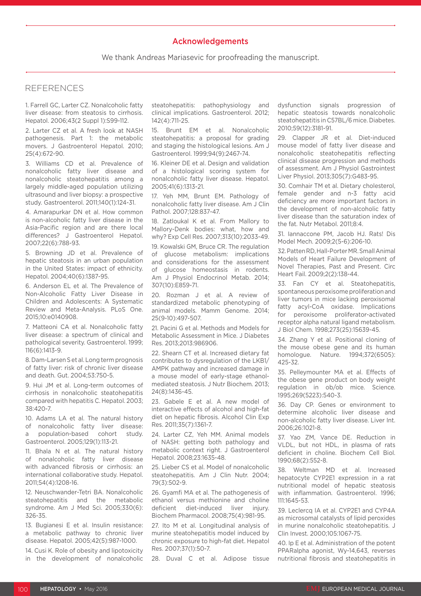#### Acknowledgements

We thank Andreas Mariasevic for proofreading the manuscript.

### REFERENCES

1. Farrell GC, Larter CZ. Nonalcoholic fatty liver disease: from steatosis to cirrhosis. Hepatol. 2006;43(2 Suppl 1):S99-112.

2. Larter CZ et al. A fresh look at NASH pathogenesis. Part 1: the metabolic movers. J Gastroenterol Hepatol. 2010; 25(4):672-90.

3. Williams CD et al. Prevalence of nonalcoholic fatty liver disease and nonalcoholic steatohepatitis among a largely middle-aged population utilizing ultrasound and liver biopsy: a prospective study. Gastroenterol. 2011;140(1):124-31.

4. Amarapurkar DN et al. How common is non-alcoholic fatty liver disease in the Asia-Pacific region and are there local differences? J Gastroenterol Hepatol. 2007;22(6):788-93.

5. Browning JD et al. Prevalence of hepatic steatosis in an urban population in the United States: impact of ethnicity. Hepatol. 2004;40(6):1387-95.

6. Anderson EL et al. The Prevalence of Non-Alcoholic Fatty Liver Disease in Children and Adolescents: A Systematic Review and Meta-Analysis. PLoS One. 2015;10:e0140908.

7. Matteoni CA et al. Nonalcoholic fatty liver disease: a spectrum of clinical and pathological severity. Gastroenterol. 1999; 116(6):1413-9.

8. Dam-Larsen S et al. Long term prognosis of fatty liver: risk of chronic liver disease and death. Gut. 2004;53:750-5.

9. Hui JM et al. Long-term outcomes of cirrhosis in nonalcoholic steatohepatitis compared with hepatitis C. Hepatol. 2003; 38:420-7.

10. Adams LA et al. The natural history of nonalcoholic fatty liver disease: a population-based cohort study. Gastroenterol. 2005;129(1):113-21.

11. Bhala N et al. The natural history of nonalcoholic fatty liver disease with advanced fibrosis or cirrhosis: an international collaborative study. Hepatol. 2011;54(4):1208-16.

12. Neuschwander-Tetri BA. Nonalcoholic steatohepatitis and the metabolic syndrome. Am J Med Sci. 2005;330(6): 326-35.

13. Bugianesi E et al. Insulin resistance: a metabolic pathway to chronic liver disease. Hepatol. 2005;42(5):987-1000.

14. Cusi K. Role of obesity and lipotoxicity in the development of nonalcoholic steatohepatitis: pathophysiology and clinical implications. Gastroenterol. 2012; 142(4):711-25.

15. Brunt EM et al. Nonalcoholic steatohepatitis: a proposal for grading and staging the histological lesions. Am J Gastroenterol. 1999;94(9):2467-74.

16. Kleiner DE et al. Design and validation of a histological scoring system for nonalcoholic fatty liver disease. Hepatol. 2005;41(6):1313-21.

17. Yeh MM, Brunt EM. Pathology of nonalcoholic fatty liver disease. Am J Clin Pathol. 2007;128:837-47.

18. Zatloukal K et al. From Mallory to Mallory-Denk bodies: what, how and why? Exp Cell Res. 2007;313(10):2033-49.

19. Kowalski GM, Bruce CR. The regulation of glucose metabolism: implications and considerations for the assessment of glucose homeostasis in rodents. Am J Physiol Endocrinol Metab. 2014; 307(10):E859-71.

20. Rozman J et al. A review of standardized metabolic phenotyping of animal models. Mamm Genome. 2014; 25(9-10):497-507.

21. Pacini G et al. Methods and Models for Metabolic Assessment in Mice. J Diabetes Res. 2013;2013:986906.

22. Shearn CT et al. Increased dietary fat contributes to dysregulation of the LKB1/ AMPK pathway and increased damage in a mouse model of early-stage ethanolmediated steatosis. J Nutr Biochem. 2013; 24(8):1436-45.

23. Gabele E et al. A new model of interactive effects of alcohol and high-fat diet on hepatic fibrosis. Alcohol Clin Exp Res. 2011;35(7):1361-7.

24. Larter CZ, Yeh MM. Animal models of NASH: getting both pathology and metabolic context right. J Gastroenterol Hepatol. 2008;23:1635-48.

25. Lieber CS et al. Model of nonalcoholic steatohepatitis. Am J Clin Nutr. 2004; 79(3):502-9.

26. Gyamfi MA et al. The pathogenesis of ethanol versus methionine and choline deficient diet-induced liver injury. Biochem Pharmacol. 2008;75(4):981-95.

27. Ito M et al. Longitudinal analysis of murine steatohepatitis model induced by chronic exposure to high-fat diet. Hepatol Res. 2007;37(1):50-7.

28. Duval C et al. Adipose tissue

dysfunction signals progression of hepatic steatosis towards nonalcoholic steatohepatitis in C57BL/6 mice. Diabetes. 2010;59(12):3181-91.

29. Clapper JR et al. Diet-induced mouse model of fatty liver disease and nonalcoholic steatohepatitis reflecting clinical disease progression and methods of assessment. Am J Physiol Gastrointest Liver Physiol. 2013;305(7):G483-95.

30. Comhair TM et al. Dietary cholesterol, female gender and n-3 fatty acid deficiency are more important factors in the development of non-alcoholic fatty liver disease than the saturation index of the fat. Nutr Metabol. 2011;8:4.

31. Iannaccone PM, Jacob HJ. Rats! Dis Model Mech. 2009;2(5-6):206-10.

32. Patten RD, Hall-Porter MR. Small Animal Models of Heart Failure Development of Novel Therapies, Past and Present. Circ Heart Fail. 2009;2(2):138-44.

33. Fan CY et al. Steatohepatitis, spontaneous peroxisome proliferation and liver tumors in mice lacking peroxisomal fatty acyl-CoA oxidase. Implications for peroxisome proliferator-activated receptor alpha natural ligand metabolism. J Biol Chem. 1998;273(25):15639-45.

34. Zhang Y et al. Positional cloning of the mouse obese gene and its human homologue. Nature. 1994;372(6505): 425-32.

35. Pelleymounter MA et al. Effects of the obese gene product on body weight regulation in ob/ob mice. Science. 1995;269(5223):540-3.

36. Day CP. Genes or environment to determine alcoholic liver disease and non-alcoholic fatty liver disease. Liver Int. 2006;26:1021-8.

37. Yao ZM, Vance DE. Reduction in VLDL, but not HDL, in plasma of rats deficient in choline. Biochem Cell Biol. 1990;68(2):552-8.

38. Weltman MD et al. Increased hepatocyte CYP2E1 expression in a rat nutritional model of hepatic steatosis with inflammation. Gastroenterol. 1996; 111:1645-53.

39. Leclercq IA et al. CYP2E1 and CYP4A as microsomal catalysts of lipid peroxides in murine nonalcoholic steatohepatitis. J Clin Invest. 2000;105:1067-75.

40. Ip E et al. Administration of the potent PPARalpha agonist, Wy-14,643, reverses nutritional fibrosis and steatohepatitis in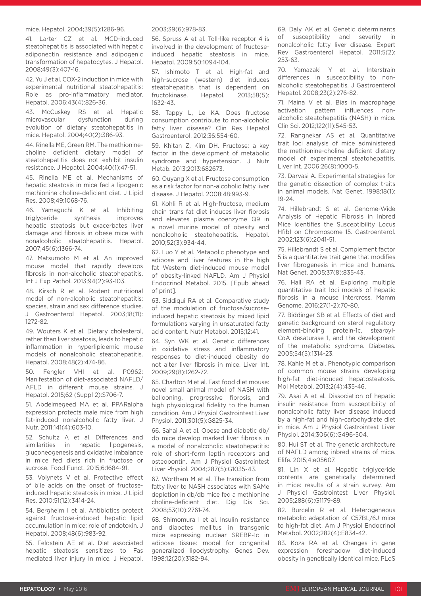#### mice. Hepatol. 2004;39(5):1286-96.

41. Larter CZ et al. MCD-induced steatohepatitis is associated with hepatic adiponectin resistance and adipogenic transformation of hepatocytes. J Hepatol. 2008;49(3):407-16.

42. Yu J et al. COX-2 induction in mice with experimental nutritional steatohepatitis: Role as pro-inflammatory mediator. Hepatol. 2006;43(4):826-36.

43. McCuskey RS et al. Hepatic microvascular dysfunction during evolution of dietary steatohepatitis in mice. Hepatol. 2004;40(2):386-93.

44. Rinella ME, Green RM. The methioninecholine deficient dietary model of steatohepatitis does not exhibit insulin resistance. J Hepatol. 2004;40(1):47-51.

45. Rinella ME et al. Mechanisms of hepatic steatosis in mice fed a lipogenic methionine choline-deficient diet. J Lipid Res. 2008;49:1068-76.

46. Yamaguchi K et al. Inhibiting triglyceride synthesis improves hepatic steatosis but exacerbates liver damage and fibrosis in obese mice with nonalcoholic steatohepatitis. Hepatol. 2007;45(6):1366-74.

47. Matsumoto M et al. An improved mouse model that rapidly develops fibrosis in non-alcoholic steatohepatitis. Int J Exp Pathol. 2013;94(2):93-103.

48. Kirsch R et al. Rodent nutritional model of non-alcoholic steatohepatitis: species, strain and sex difference studies. J Gastroenterol Hepatol. 2003;18(11): 1272-82.

49. Wouters K et al. Dietary cholesterol, rather than liver steatosis, leads to hepatic inflammation in hyperlipidemic mouse models of nonalcoholic steatohepatitis. Hepatol. 2008;48(2):474-86.

50. Fengler VHI et al. P0962: Manifestation of diet-associated NAFLD/ AFLD in different mouse strains. J Hepatol. 2015;62 (Suppl 2):S706-7.

51. Abdelmegeed MA et al. PPARalpha expression protects male mice from high fat-induced nonalcoholic fatty liver. J Nutr. 2011;141(4):603-10.

52. Schultz A et al. Differences and similarities in hepatic lipogenesis, gluconeogenesis and oxidative imbalance in mice fed diets rich in fructose or sucrose. Food Funct. 2015;6:1684-91.

53. Volynets V et al. Protective effect of bile acids on the onset of fructoseinduced hepatic steatosis in mice. J Lipid Res. 2010;51(12):3414-24.

54. Bergheim I et al. Antibiotics protect against fructose-induced hepatic lipid accumulation in mice: role of endotoxin. J Hepatol. 2008;48(6):983-92.

55. Feldstein AE et al. Diet associated hepatic steatosis sensitizes to Fas mediated liver injury in mice. J Hepatol. 2003;39(6):978-83.

56. Spruss A et al. Toll-like receptor 4 is involved in the development of fructoseinduced hepatic steatosis in mice. Hepatol. 2009;50:1094-104.

57. Ishimoto T et al. High-fat and high-sucrose (western) diet induces steatohepatitis that is dependent on fructokinase. Hepatol. 2013;58(5): 1632-43.

58. Tappy L, Le KA. Does fructose consumption contribute to non-alcoholic fatty liver disease? Clin Res Hepatol Gastroenterol. 2012;36:554-60.

59. Khitan Z, Kim DH. Fructose: a key factor in the development of metabolic syndrome and hypertension. J Nutr Metab. 2013;2013:682673.

60. Ouyang X et al. Fructose consumption as a risk factor for non-alcoholic fatty liver disease. J Hepatol. 2008;48:993-9.

61. Kohli R et al. High-fructose, medium chain trans fat diet induces liver fibrosis and elevates plasma coenzyme Q9 in a novel murine model of obesity and nonalcoholic steatohepatitis. Hepatol. 2010;52(3):934-44.

62. Luo Y et al. Metabolic phenotype and adipose and liver features in the high fat Western diet-induced mouse model of obesity-linked NAFLD. Am J Physiol Endocrinol Metabol. 2015. [Epub ahead of print].

63. Siddiqui RA et al. Comparative study of the modulation of fructose/sucroseinduced hepatic steatosis by mixed lipid formulations varying in unsaturated fatty acid content. Nutr Metabol. 2015;12:41.

64. Syn WK et al. Genetic differences in oxidative stress and inflammatory responses to diet-induced obesity do not alter liver fibrosis in mice. Liver Int. 2009;29(8):1262-72.

65. Charlton M et al. Fast food diet mouse: novel small animal model of NASH with ballooning, progressive fibrosis, and high physiological fidelity to the human condition. Am J Physiol Gastrointest Liver Physiol. 2011;301(5):G825-34.

66. Sahai A et al. Obese and diabetic db/ db mice develop marked liver fibrosis in a model of nonalcoholic steatohepatitis: role of short-form leptin receptors and osteopontin. Am J Physiol Gastrointest Liver Physiol. 2004;287(5):G1035-43.

67. Wortham M et al. The transition from fatty liver to NASH associates with SAMe depletion in db/db mice fed a methionine choline-deficient diet. Dig Dis Sci. 2008;53(10):2761-74.

68. Shimomura I et al. Insulin resistance and diabetes mellitus in transgenic mice expressing nuclear SREBP-1c in adipose tissue: model for congenital generalized lipodystrophy. Genes Dev. 1998;12(20):3182-94.

69. Daly AK et al. Genetic determinants of susceptibility and severity in nonalcoholic fatty liver disease. Expert Rev Gastroenterol Hepatol. 2011;5(2): 253-63.

70. Yamazaki Y et al. Interstrain differences in susceptibility to nonalcoholic steatohepatitis. J Gastroenterol Hepatol. 2008;23(2):276-82.

71. Maina V et al. Bias in macrophage activation pattern influences nonalcoholic steatohepatitis (NASH) in mice. Clin Sci. 2012;122(11):545-53.

72. Rangnekar AS et al. Quantitative trait loci analysis of mice administered the methionine-choline deficient dietary model of experimental steatohepatitis. Liver Int. 2006;26(8):1000-5.

73. Darvasi A. Experimental strategies for the genetic dissection of complex traits in animal models. Nat Genet. 1998;18(1): 19-24.

74. Hillebrandt S et al. Genome-Wide Analysis of Hepatic Fibrosis in Inbred Mice Identifies the Susceptibility Locus Hfib1 on Chromosome 15. Gastroenterol. 2002;123(6):2041-51.

75. Hillebrandt S et al. Complement factor 5 is a quantitative trait gene that modifies liver fibrogenesis in mice and humans. Nat Genet. 2005;37(8):835-43.

76. Hall RA et al. Exploring multiple quantitative trait loci models of hepatic fibrosis in a mouse intercross. Mamm Genome. 2016;27(1-2):70-80.

77. Biddinger SB et al. Effects of diet and genetic background on sterol regulatory element-binding protein-1c, stearoyl-CoA desaturase 1, and the development of the metabolic syndrome. Diabetes. 2005;54(5):1314-23.

78. Kahle M et al. Phenotypic comparison of common mouse strains developing high-fat diet-induced hepatosteatosis. Mol Metabol. 2013;2(4):435-46.

79. Asai A et al. Dissociation of hepatic insulin resistance from susceptibility of nonalcoholic fatty liver disease induced by a high-fat and high-carbohydrate diet in mice. Am J Physiol Gastrointest Liver Physiol. 2014;306(6):G496-504.

80. Hui ST et al. The genetic architecture of NAFLD among inbred strains of mice. Elife. 2015;4:e05607.

81. Lin X et al. Hepatic triglyceride contents are genetically determined in mice: results of a strain survey. Am J Physiol Gastrointest Liver Physiol. 2005;288(6):G1179-89.

82. Burcelin R et al. Heterogeneous metabolic adaptation of C57BL/6J mice to high-fat diet. Am J Physiol Endocrinol Metabol. 2002;282(4):E834-42.

83. Koza RA et al. Changes in gene expression foreshadow diet-induced obesity in genetically identical mice. PLoS